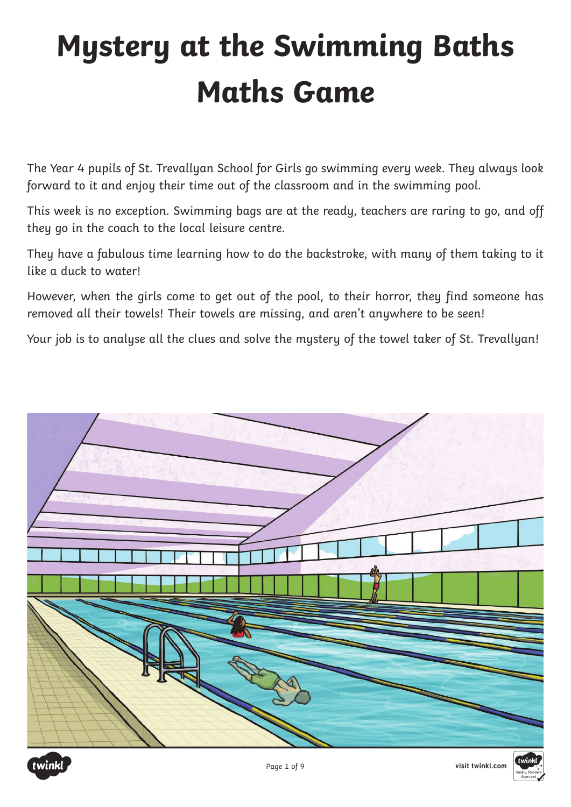# **Mystery at the Swimming Baths Maths Game**

The Year 4 pupils of St. Trevallyan School for Girls go swimming every week. They always look forward to it and enjoy their time out of the classroom and in the swimming pool.

This week is no exception. Swimming bags are at the ready, teachers are raring to go, and off they go in the coach to the local leisure centre.

They have a fabulous time learning how to do the backstroke, with many of them taking to it like a duck to water!

However, when the girls come to get out of the pool, to their horror, they find someone has removed all their towels! Their towels are missing, and aren't anywhere to be seen!

Your job is to analyse all the clues and solve the mystery of the towel taker of St. Trevallyan!



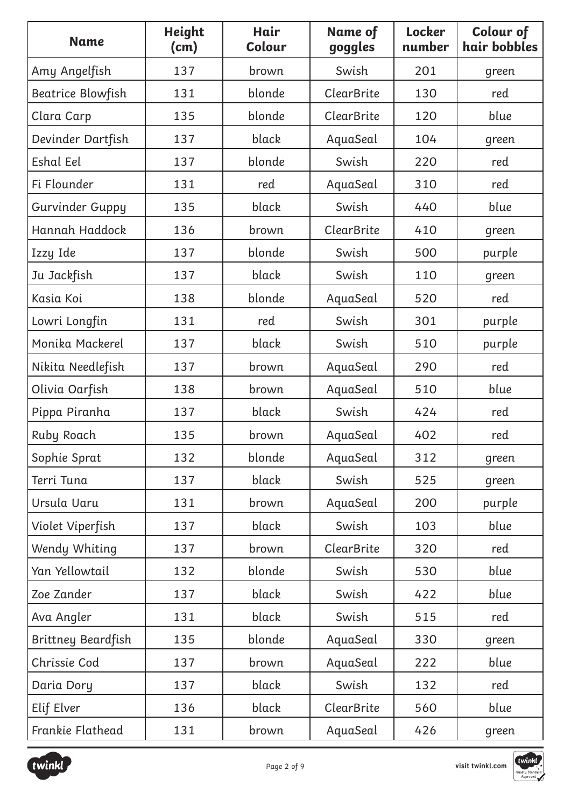| <b>Name</b>            | Height<br>(cm) | Hair<br>Colour | Name of<br>goggles | Locker<br>number | <b>Colour of</b><br>hair bobbles |
|------------------------|----------------|----------------|--------------------|------------------|----------------------------------|
| Amy Angelfish          | 137            | brown          | Swish              | 201              | green                            |
| Beatrice Blowfish      | 131            | blonde         | <b>ClearBrite</b>  | 130              | red                              |
| Clara Carp             | 135            | blonde         | <b>ClearBrite</b>  | 120              | blue                             |
| Devinder Dartfish      | 137            | black          | AquaSeal           | 104              | green                            |
| Eshal Eel              | 137            | blonde         | Swish              | 220              | red                              |
| Fi Flounder            | 131            | red            | AquaSeal           | 310              | red                              |
| <b>Gurvinder Guppy</b> | 135            | black          | Swish              | 440              | blue                             |
| Hannah Haddock         | 136            | brown          | <b>ClearBrite</b>  | 410              | green                            |
| Izzy Ide               | 137            | blonde         | Swish              | 500              | purple                           |
| Ju Jackfish            | 137            | black          | Swish              | 110              | green                            |
| Kasia Koi              | 138            | blonde         | AquaSeal           | 520              | red                              |
| Lowri Longfin          | 131            | red            | Swish              | 301              | purple                           |
| Monika Mackerel        | 137            | black          | Swish              | 510              | purple                           |
| Nikita Needlefish      | 137            | brown          | AquaSeal           | 290              | red                              |
| Olivia Oarfish         | 138            | brown          | AquaSeal           | 510              | blue                             |
| Pippa Piranha          | 137            | black          | Swish              | 424              | red                              |
| <b>Ruby Roach</b>      | 135            | brown          | AquaSeal           | 402              | red                              |
| Sophie Sprat           | 132            | blonde         | AquaSeal           | 312              | green                            |
| Terri Tuna             | 137            | black          | Swish              | 525              | green                            |
| Ursula Uaru            | 131            | brown          | AquaSeal           | 200              | purple                           |
| Violet Viperfish       | 137            | black          | Swish              | 103              | blue                             |
| Wendy Whiting          | 137            | brown          | ClearBrite         | 320              | red                              |
| Yan Yellowtail         | 132            | blonde         | Swish              | 530              | blue                             |
| Zoe Zander             | 137            | black          | Swish              | 422              | blue                             |
| Ava Angler             | 131            | black          | Swish              | 515              | red                              |
| Brittney Beardfish     | 135            | blonde         | AquaSeal           | 330              | green                            |
| Chrissie Cod           | 137            | brown          | AquaSeal           | 222              | blue                             |
| Daria Dory             | 137            | black          | Swish              | 132              | red                              |
| Elif Elver             | 136            | black          | ClearBrite         | 560              | blue                             |
| Frankie Flathead       | 131            | brown          | AquaSeal           | 426              | green                            |

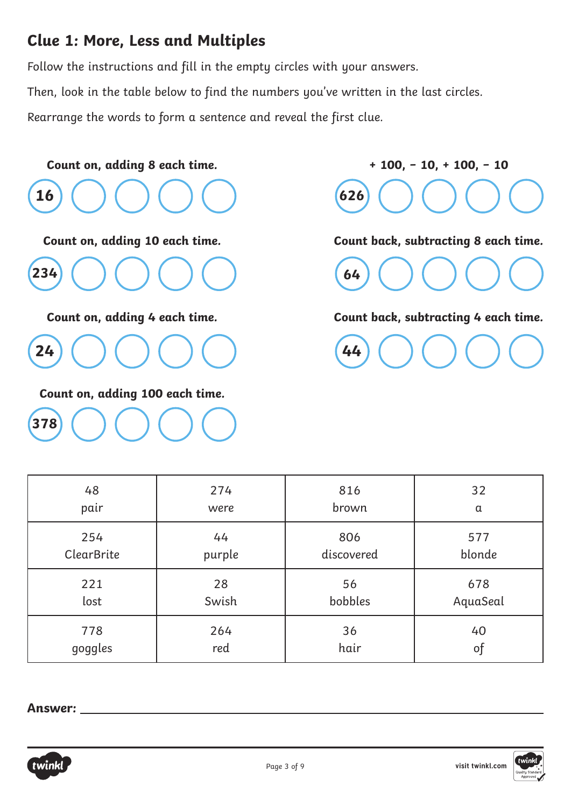#### **Clue 1: More, Less and Multiples**

Follow the instructions and fill in the empty circles with your answers.

Then, look in the table below to find the numbers you've written in the last circles.

Rearrange the words to form a sentence and reveal the first clue.



**+ 100, − 10, + 100, − 10 626**

**Count back, subtracting 8 each time.**



**Count back, subtracting 4 each time.**

**44**

| 48                | 274    | 816        | 32       |
|-------------------|--------|------------|----------|
| pair              | were   | brown      | $\alpha$ |
| 254               | 44     | 806        | 577      |
| <b>ClearBrite</b> | purple | discovered | blonde   |
| 221               | 28     | 56         | 678      |
| lost              | Swish  | bobbles    | AquaSeal |
| 778               | 264    | 36         | 40       |
| goggles           | red    | hair       | of       |

**Answer:** 

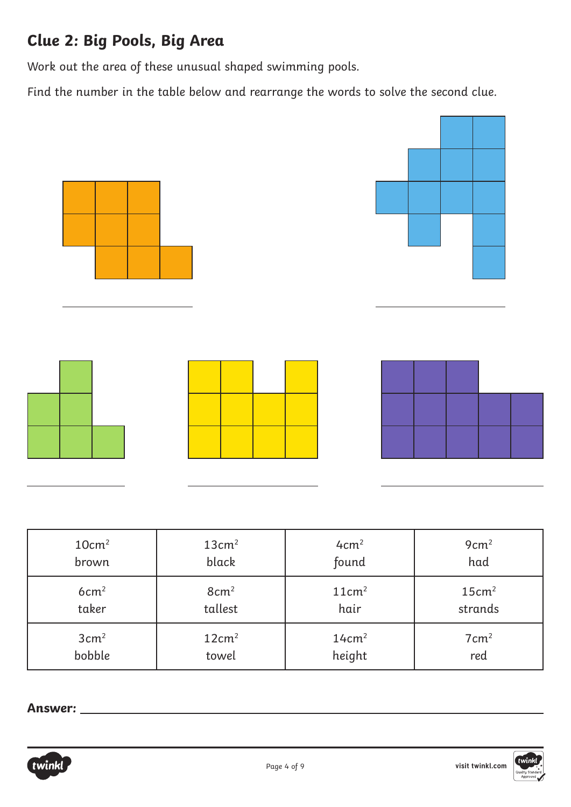# **Clue 2: Big Pools, Big Area**

Work out the area of these unusual shaped swimming pools.

Find the number in the table below and rearrange the words to solve the second clue.



| 10cm <sup>2</sup> | 13cm <sup>2</sup> | 4cm <sup>2</sup>  | 9cm <sup>2</sup>  |
|-------------------|-------------------|-------------------|-------------------|
| brown             | black             | found             | had               |
| 6cm <sup>2</sup>  | 8cm <sup>2</sup>  | 11cm <sup>2</sup> | 15cm <sup>2</sup> |
| taker             | tallest           | hair              | strands           |
| $3 \text{cm}^2$   | 12cm <sup>2</sup> | 14cm <sup>2</sup> | $7 \text{cm}^2$   |
| bobble            | towel             | height            | red               |

**Answer:** 



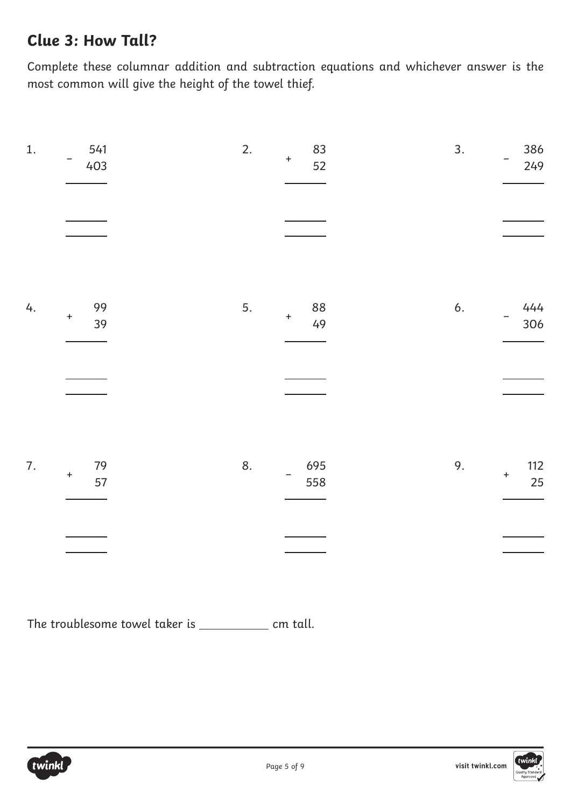### **Clue 3: How Tall?**

Complete these columnar addition and subtraction equations and whichever answer is the most common will give the height of the towel thief.

| 1.              | 541<br>403                   | 2.<br>83<br>$\qquad \qquad +$<br>52 | 3.<br>386<br>249                    |
|-----------------|------------------------------|-------------------------------------|-------------------------------------|
|                 |                              |                                     |                                     |
| 4.<br>$\ddot{}$ | 99<br>39                     | 5.<br>88<br>$\pm$<br>49             | 6.<br>444<br>306                    |
|                 |                              |                                     |                                     |
| 7.              | 79<br>$\boldsymbol{+}$<br>57 | 8.<br>695<br>558                    | 9.<br>112<br>$\boldsymbol{+}$<br>25 |
|                 |                              |                                     |                                     |

The troublesome towel taker is  $\frac{1}{\sqrt{2\pi}}$  cm tall.

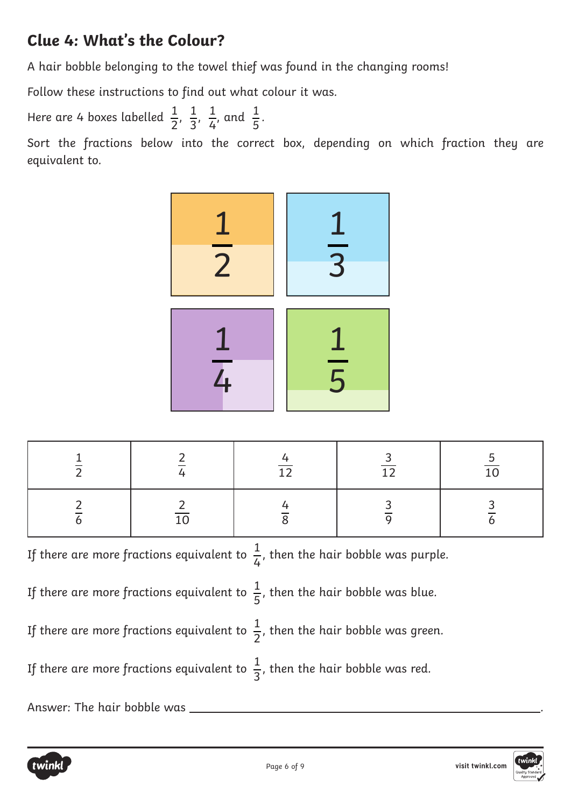# **Clue 4: What's the Colour?**

A hair bobble belonging to the towel thief was found in the changing rooms!

Follow these instructions to find out what colour it was.

Here are 4 boxes labelled  $\frac{1}{2}$ ,  $\frac{1}{2}$ ,  $\frac{1}{4}$ , and  $\frac{1}{5}$ . 

Sort the fractions below into the correct box, depending on which fraction they are equivalent to.



If there are more fractions equivalent to  $\frac{1}{\tau}$ , then the hair bobble was purple. If there are more fractions equivalent to  $\frac{1}{5}$ , then the hair bobble was blue. If there are more fractions equivalent to  $\frac{1}{2}$ , then the hair bobble was green. If there are more fractions equivalent to  $\frac{1}{2}$ , then the hair bobble was red. Answer: The hair bobble was \_



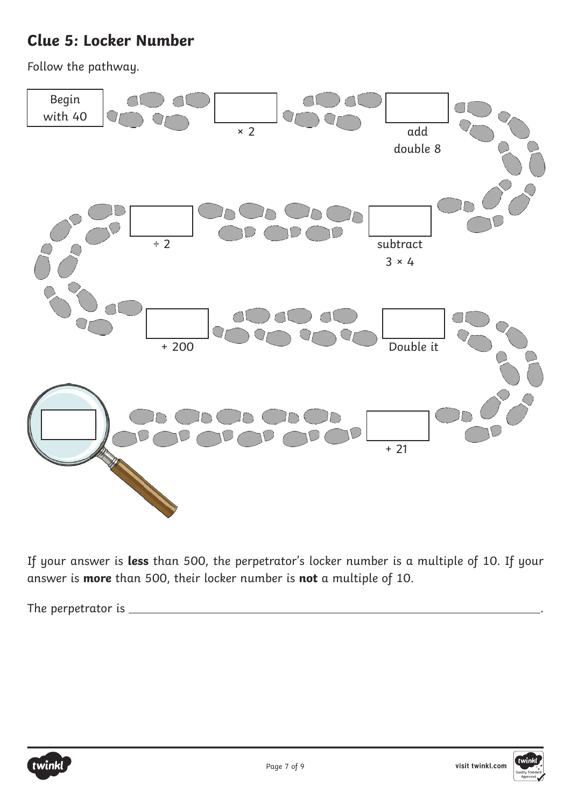# **Clue 5: Locker Number**

Follow the pathway.



If your answer is **less** than 500, the perpetrator's locker number is a multiple of 10. If your answer is **more** than 500, their locker number is **not** a multiple of 10.

The perpetrator is .



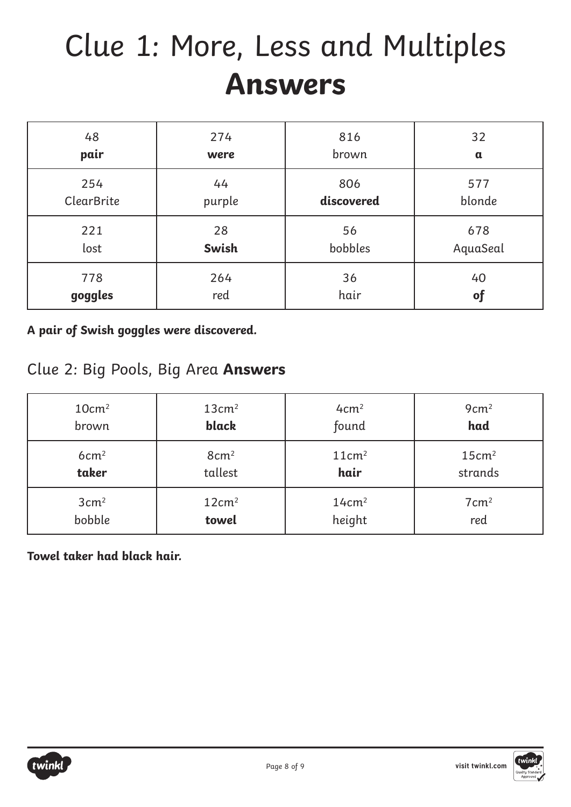# Clue 1: More, Less and Multiples **Answers**

| 48                | 274          | 816        | 32          |
|-------------------|--------------|------------|-------------|
| pair              | were         | brown      | $\mathbf a$ |
| 254               | 44           | 806        | 577         |
| <b>ClearBrite</b> | purple       | discovered | blonde      |
| 221               | 28           | 56         | 678         |
| lost              | <b>Swish</b> | bobbles    | AquaSeal    |
| 778               | 264          | 36         | 40          |
| goggles           | red          | hair       | of          |

**A pair of Swish goggles were discovered.**

#### Clue 2: Big Pools, Big Area **Answers**

| 10cm <sup>2</sup> | 13cm <sup>2</sup> | 4cm <sup>2</sup>  | 9cm <sup>2</sup>  |
|-------------------|-------------------|-------------------|-------------------|
| brown             | black             | found             | had               |
| 6cm <sup>2</sup>  | $8 \text{cm}^2$   | 11cm <sup>2</sup> | 15cm <sup>2</sup> |
| taker             | tallest           | hair              | strands           |
| 3cm <sup>2</sup>  | 12cm <sup>2</sup> | 14cm <sup>2</sup> | $7 \text{cm}^2$   |
| bobble            | towel             | height            | red               |

**Towel taker had black hair.**